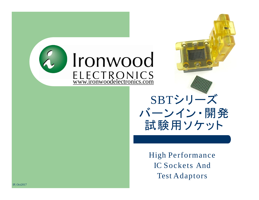

## SBTシリーズ バーンイン・開発 試験用ソケット

High Performance IC Sockets And Test Adaptors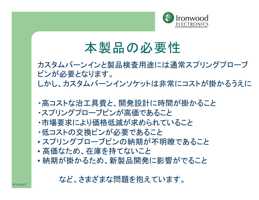

## 本製品の必要性

カスタムバーンインと製品検査用途には通常スプリングプローブ ピンが必要となります。 しかし、カスタムバーンインソケットは非常にコストが掛かるうえに

- ・高コストな治工具費と、開発設計に時間が掛かること
- ・スプリングプローブピンが高価であること
- ・市場要求により価格低減が求められていること
- ・低コストの交換ピンが必要であること
- スプリングプローブピンの納期が不明瞭であること
- 高価なため、在庫を持てないこと
- 納期が掛かるため、新製品開発に影響がでること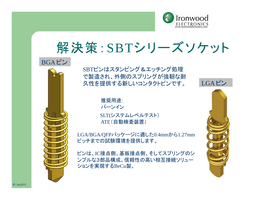

## 解決策:SBTシリーズソケット





SBTピンはスタンピング&エッチング処理 で製造され、外側のスプリングが強靭な耐 久性を提供する新しいコンタクトピンです。

> 推奨用途: バーンイン SLT(システムレベルテスト) ATE(自動検査装置)

LGA/BGA/QFPパッケージに適した0.4mmから1.27mm ピッチまでの試験環境を提供します。

ピンは、IC接点側、基板接点側、そしてスプリングのシ ンプルな3部品構成。信頼性の高い相互接続ソリュー ションを実現するBeCu製。



IP,Jan2015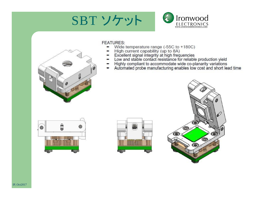





#### **FEATURES:**

- Wide temperature range (-55C to +180C) ۰
- 
- 
- 
- ۰
- High current capability (up to 8A)<br>Excellent signal integrity at high frequencies<br>Low and stable contact resistance for reliable production yield<br>Highly compliant to accommodate wide co-planarity variations<br>Automated probe ٠





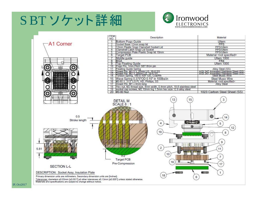# SBTソケット詳細 www.ironwoodelectronics



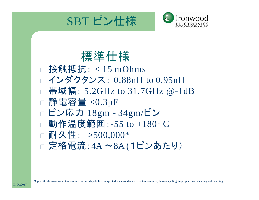



### 標準仕様

□ 接触抵抗: < 15 mOhms インダクタンス: 0.88nH to 0.95nH 帯域幅: 5.2GHz to 31.7GHz @-1dB  $\Box$  静電容量 <0.3pF □ ピン応力 18gm - 34gm/ピン □ 動作温度範囲: -55 to +180° C □ 耐久性: >500,000\* □ 定格電流: 4A ~8A (1ピンあたり)

\*Cycle life shown at room temperature. Reduced cycle life is expected when used at extreme temperatures, thermal cycling, improper force, cleaning and handling.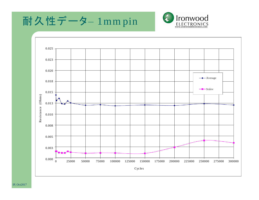



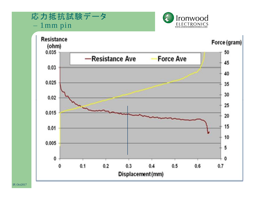応力抵抗試験データ – 1mm pin



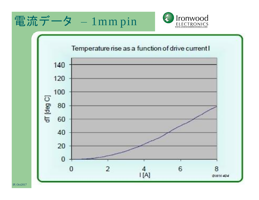



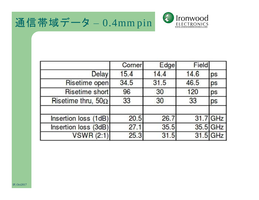



|                           | Corner | Edge | Field |          |
|---------------------------|--------|------|-------|----------|
| <b>Delay</b>              | 15.4   | 14.4 | 14.6  | ps       |
| Risetime open             | 34.5   | 31.5 | 46.5  | ps       |
| Risetime short            | 96     | 30   | 120   | ps       |
| Risetime thru, $50\Omega$ | 33     | 30   | 33    | ps       |
| Insertion loss (1dB)      | 20.5   | 26.7 |       | 31.7 GHz |
| Insertion loss (3dB)      | 27.1   | 35.5 |       | 35.5 GHz |
| <b>VSWR (2:1)</b>         | 25.3   | 31.5 |       | 31.5 GHz |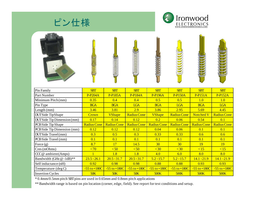

\* 0.4mm/0.5mm pitch SBTpins are used in 0.65mm and 0.8mm pitch applications

\*\*Bandwidth range is based on pin location (corner, edge, field). See report for test conditions and setup.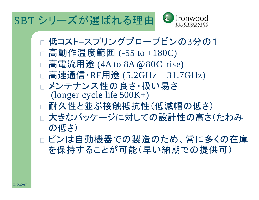## SBT シリーズが選ばれる理由



- □ 低コスト–スプリングプローブピンの3分の1
- □ 高動作温度範囲 (-55 to +180C)
- □ 高電流用途 (4A to 8A @ 80C rise)
- □ 高速通信・RF用途 (5.2GHz 31.7GHz)
- □ メンテナンス性の良さ・扱い易さ (longer cycle life 500K+)
- □ 耐久性と並ぶ接触抵抗性(低減幅の低さ)
- □ 大きなパッケージに対しての設計性の高さ(たわみ の低さ)
- ピンは自動機器での製造のため、常に多くの在庫 を保持することが可能(早い納期での提供可)